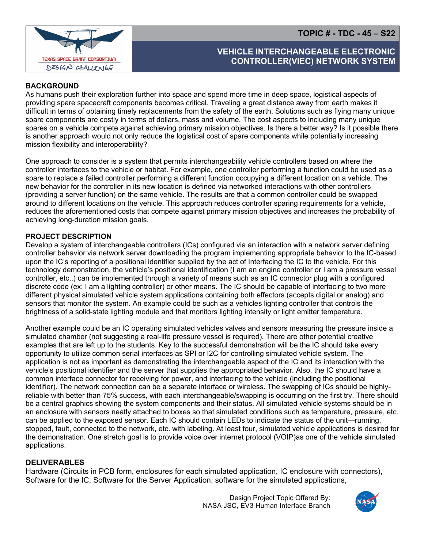**TOPIC # - TDC - 45 – S22**



# **VEHICLE INTERCHANGEABLE ELECTRONIC CONTROLLER(VIEC) NETWORK SYSTEM**

## **BACKGROUND**

As humans push their exploration further into space and spend more time in deep space, logistical aspects of providing spare spacecraft components becomes critical. Traveling a great distance away from earth makes it difficult in terms of obtaining timely replacements from the safety of the earth. Solutions such as flying many unique spare components are costly in terms of dollars, mass and volume. The cost aspects to including many unique spares on a vehicle compete against achieving primary mission objectives. Is there a better way? Is it possible there is another approach would not only reduce the logistical cost of spare components while potentially increasing mission flexibility and interoperability?

One approach to consider is a system that permits interchangeability vehicle controllers based on where the controller interfaces to the vehicle or habitat. For example, one controller performing a function could be used as a spare to replace a failed controller performing a different function occupying a different location on a vehicle. The new behavior for the controller in its new location is defined via networked interactions with other controllers (providing a server function) on the same vehicle. The results are that a common controller could be swapped around to different locations on the vehicle. This approach reduces controller sparing requirements for a vehicle, reduces the aforementioned costs that compete against primary mission objectives and increases the probability of achieving long-duration mission goals.

#### **PROJECT DESCRIPTION**

Develop a system of interchangeable controllers (ICs) configured via an interaction with a network server defining controller behavior via network server downloading the program implementing appropriate behavior to the IC-based upon the IC's reporting of a positional identifier supplied by the act of Interfacing the IC to the vehicle. For this technology demonstration, the vehicle's positional identification (I am an engine controller or I am a pressure vessel controller, etc.,) can be implemented through a variety of means such as an IC connector plug with a configured discrete code (ex: I am a lighting controller) or other means. The IC should be capable of interfacing to two more different physical simulated vehicle system applications containing both effectors (accepts digital or analog) and sensors that monitor the system. An example could be such as a vehicles lighting controller that controls the brightness of a solid-state lighting module and that monitors lighting intensity or light emitter temperature.

Another example could be an IC operating simulated vehicles valves and sensors measuring the pressure inside a simulated chamber (not suggesting a real-life pressure vessel is required). There are other potential creative examples that are left up to the students. Key to the successful demonstration will be the IC should take every opportunity to utilize common serial interfaces as SPI or I2C for controlling simulated vehicle system. The application is not as important as demonstrating the interchangeable aspect of the IC and its interaction with the vehicle's positional identifier and the server that supplies the appropriated behavior. Also, the IC should have a common interface connector for receiving for power, and interfacing to the vehicle (including the positional identifier). The network connection can be a separate interface or wireless. The swapping of ICs should be highlyreliable with better than 75% success, with each interchangeable/swapping is occurring on the first try. There should be a central graphics showing the system components and their status. All simulated vehicle systems should be in an enclosure with sensors neatly attached to boxes so that simulated conditions such as temperature, pressure, etc. can be applied to the exposed sensor. Each IC should contain LEDs to indicate the status of the unit—running, stopped, fault, connected to the network, etc. with labeling. At least four, simulated vehicle applications is desired for the demonstration. One stretch goal is to provide voice over internet protocol (VOIP)as one of the vehicle simulated applications.

#### **DELIVERABLES**

Hardware (Circuits in PCB form, enclosures for each simulated application, IC enclosure with connectors), Software for the IC, Software for the Server Application, software for the simulated applications,

> Design Project Topic Offered By: NASA JSC, EV3 Human Interface Branch